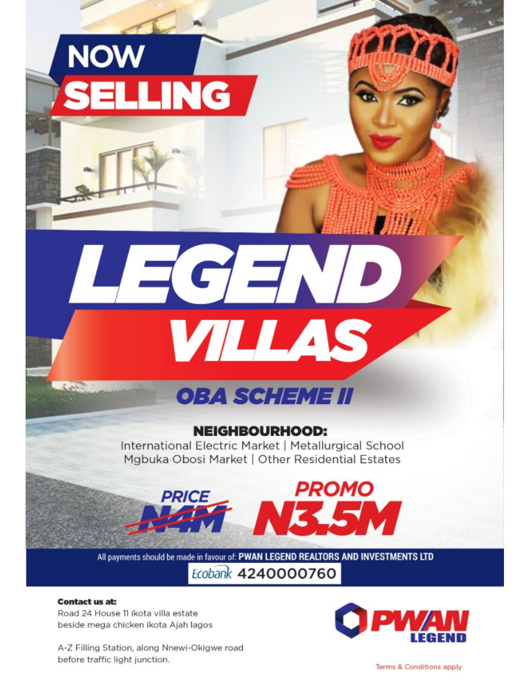# **NOW** SELLING

# **OBA SCHEME II**

VILLAS

 $\preceq$   $\subset$   $\preceq$   $\sqrt{ }$ 

## **NEIGHBOURHOOD:**

International Electric Market | Metallurgical School Mgbuka Obosi Market | Other Residential Estates

**PROMO** 

All payments should be made in favour of: PWAN LEGEND REALTORS AND INVESTMENTS LTD Ecobank 4240000760

 $\sqrt{ }$ 

N3

#### **Contact us at:**

Road 24 House 11 ikota villa estate beside mega chicken ikota Ajah lagos

A-Z Filling Station, along Nnewi-Okigwe road before traffic light junction.

**PRICE** 



 $77777777$ 

理理

Terms & Conditions apply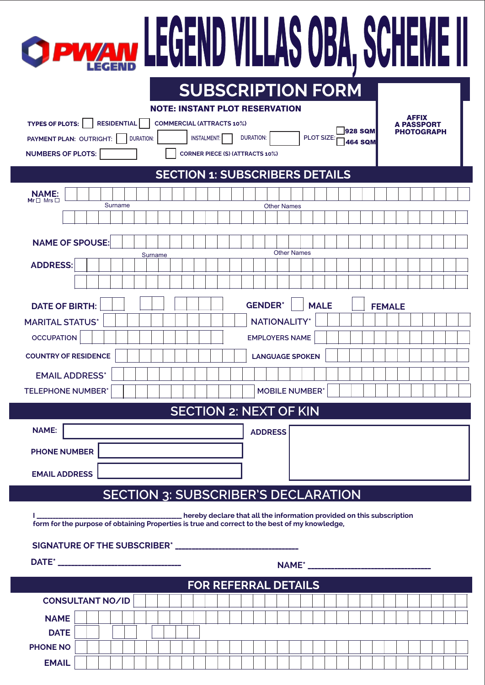| <b>O PVYAN LEGEND VILLAS OBA, SCHI</b>                                                                                                                                                                                                                                                                                                                                                                             |  |  |  |  |  |
|--------------------------------------------------------------------------------------------------------------------------------------------------------------------------------------------------------------------------------------------------------------------------------------------------------------------------------------------------------------------------------------------------------------------|--|--|--|--|--|
| <b>SUBSCRIPTION FORM</b><br><b>NOTE: INSTANT PLOT RESERVATION</b><br><b>AFFIX</b><br><b>RESIDENTIAL</b><br><b>TYPES OF PLOTS:</b><br><b>COMMERCIAL (ATTRACTS 10%)</b><br>A PASSPORT<br>928 SQM<br><b>PHOTOGRAPH</b><br>PLOT SIZE:<br><b>DURATION:</b><br><b>INSTALMENT:</b><br>PAYMENT PLAN: OUTRIGHT:<br><b>DURATION:</b><br><b>464 SQM</b><br><b>NUMBERS OF PLOTS:</b><br><b>CORNER PIECE (S) (ATTRACTS 10%)</b> |  |  |  |  |  |
| <b>SECTION 1: SUBSCRIBERS DETAILS</b><br><b>NAME:</b><br>Mr <sub>D</sub> Mrs<br>Surname<br><b>Other Names</b>                                                                                                                                                                                                                                                                                                      |  |  |  |  |  |
| <b>NAME OF SPOUSE:</b><br><b>Other Names</b><br>Surname<br><b>ADDRESS:</b>                                                                                                                                                                                                                                                                                                                                         |  |  |  |  |  |
| <b>GENDER*</b><br><b>MALE</b><br><b>DATE OF BIRTH:</b><br><b>FEMALE</b><br><b>NATIONALITY*</b><br><b>MARITAL STATUS*</b><br><b>OCCUPATION</b><br><b>EMPLOYERS NAME</b><br><b>COUNTRY OF RESIDENCE</b><br><b>LANGUAGE SPOKEN</b><br><b>EMAIL ADDRESS*</b><br><b>MOBILE NUMBER*</b><br><b>TELEPHONE NUMBER*</b>                                                                                                      |  |  |  |  |  |
| <b>SECTION 2: NEXT OF KIN</b><br><b>NAME:</b><br><b>ADDRESS</b>                                                                                                                                                                                                                                                                                                                                                    |  |  |  |  |  |
| <b>PHONE NUMBER</b><br><b>EMAIL ADDRESS</b>                                                                                                                                                                                                                                                                                                                                                                        |  |  |  |  |  |
| <b>SECTION 3: SUBSCRIBER'S DECLARATION</b>                                                                                                                                                                                                                                                                                                                                                                         |  |  |  |  |  |
|                                                                                                                                                                                                                                                                                                                                                                                                                    |  |  |  |  |  |
| <b>FOR REFERRAL DETAILS</b><br><b>CONSULTANT NO/ID</b><br><b>NAME</b><br><b>DATE</b>                                                                                                                                                                                                                                                                                                                               |  |  |  |  |  |
| <b>PHONE NO</b><br><b>EMAIL</b>                                                                                                                                                                                                                                                                                                                                                                                    |  |  |  |  |  |